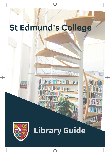# **St Edmund's College**



# **Library Guide**

ard J

**Miksuri**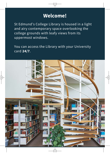#### **Welcome!**

St Edmund's College Library is housed in a light and airy contemporary space overlooking the college grounds with leafy views from its uppermost windows.

You can access the Library with your University card **24/7**.

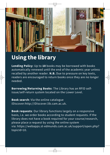

## **Using the library**

**Lending Policy**: Up to **10** books may be borrowed with books automatically renewed until the end of the academic year unless recalled by another reader. **N.B.** Due to pressure on key texts, readers are encouraged to return books once they are no longer needed.

**Borrowing/Returning Books**: The Library has an RFID selfissue/self-return system located on the Lower Level.

**Book search**: Via the online catalogue iDiscover:http://iDiscover.lib.cam.ac.uk.

**Book requests**: Our library functions largely on a responsive basis, i.e. we order books according to student requests. If the library does not have a book required for your course/research, please place a request by using the online system via: https://webapps.st-edmunds.cam.ac.uk/support/open.php? topicId=10.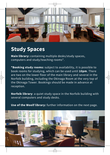

#### **Study Spaces**

**Main library:** containing multiple desks/study spaces, computers and study/teaching rooms\*.

**\*Booking study rooms:** subject to availability, it is possible to book rooms for studying, which can be used until **10pm**. There are two on the lower floor of the main library and several in the Norfolk building, including the Okinaga Room at the very top of the Okinaga Tower. Bookings should be made in advance at reception.

**Norfolk library**: a quiet study space in the Norfolk building with several computers and study desks.

**Use of the Woolf library:** further information on the next page.

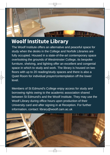

### **Woolf Institute Library**

The Woolf Institute offers an alternative and peaceful space for study when the desks in the College and Norfolk Libraries are fully occupied. Housed in a state-of-the-art contemporary space overlooking the grounds of Westminster College, its bespoke furniture, shelving, and lighting offer an excellent and congenial space in which to study and work. The library is housed on two floors with up to 20 reading/study spaces and there is also a Quiet Room for individual prayer/contemplation off the lower level.

Members of St Edmund's College enjoy access for study and borrowing rights owing to the academic association shared between St Edmund's and the Woolf Institute. They may use the Woolf Library during office hours upon production of their University card and after signing in at Reception. For further information, contact: library@woolf.cam.ac.uk

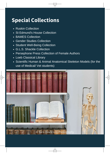#### **Special Collections**

- Ruskin Collection
- St Edmund's House Collection
- BAMES Collection
- Gender Studies Collection
- Student Well-Being Collection
- G.L.S. Shackle Collection
- Persephone Press Collection of Female Authors
- Loeb Classical Library
- Scientific Human & Animal Anatomical Skeleton Models (for the use of Medical/ Vet students)

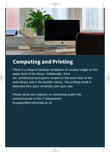

### **Computing and Printing**

There is a range of desktop computers for student usage on the upper level of the library. Additionally, there are printer/scanner/copiers located on the lower floor of the main library and in the Norfolk Library. The printing credit is deducted from your University card upon use.

Please direct any inquiries re: computing and/or the printer/scanner to the IT Department: it-support@st-edmunds.ac.uk